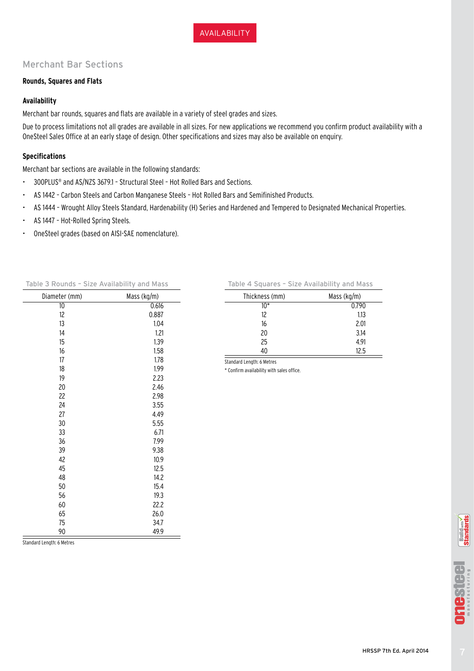# Merchant Bar Sections

### **Rounds, Squares and Flats**

# **Availability**

Merchant bar rounds, squares and flats are available in a variety of steel grades and sizes.

Due to process limitations not all grades are available in all sizes. For new applications we recommend you confirm product availability with a OneSteel Sales Office at an early stage of design. Other specifications and sizes may also be available on enquiry.

### **Specifications**

Merchant bar sections are available in the following standards:

- 300PLUS® and AS/NZS 3679.1 Structural Steel Hot Rolled Bars and Sections.
- AS 1442 Carbon Steels and Carbon Manganese Steels Hot Rolled Bars and Semifinished Products.
- AS 1444 Wrought Alloy Steels Standard, Hardenability (H) Series and Hardened and Tempered to Designated Mechanical Properties.
- AS 1447 Hot-Rolled Spring Steels.
- OneSteel grades (based on AISI-SAE nomenclature).

| Mass (kg/m) |
|-------------|
| 0.616       |
| 0.887       |
| 1.04        |
| 1.21        |
| 1.39        |
| 1.58        |
| 1.78        |
| 1.99        |
| 2.23        |
| 2.46        |
| 2.98        |
| 3.55        |
| 4.49        |
| 5.55        |
| 6.71        |
| 7.99        |
| 9.38        |
| 10.9        |
| 12.5        |
| 14.2        |
| 15.4        |
| 19.3        |
| 22.2        |
| 26.0        |
| 34.7        |
| 49.9        |
|             |

Table 3 Rounds – Size Availability and Mass

| Table 4 Squares - Size Availability and Mass |             |  |  |  |  |
|----------------------------------------------|-------------|--|--|--|--|
| Thickness (mm)                               | Mass (kg/m) |  |  |  |  |
| 10*                                          | 0.790       |  |  |  |  |
| 12                                           | 1.13        |  |  |  |  |
| 16                                           | 2.01        |  |  |  |  |
| 20                                           | 3.14        |  |  |  |  |
| 25                                           | 4.91        |  |  |  |  |
| 40                                           | 12.5        |  |  |  |  |
|                                              |             |  |  |  |  |

Standard Length: 6 Metres \* Confirm availability with sales office.

Standard Length: 6 Metres

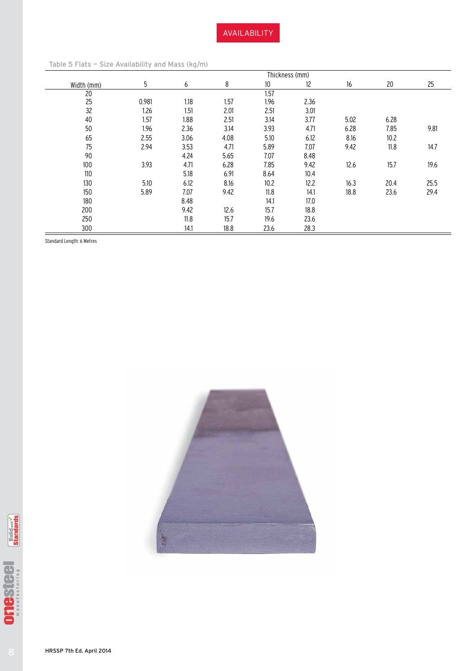|            |       |      |      | Thickness (mm)  |      |      |      |      |
|------------|-------|------|------|-----------------|------|------|------|------|
| Width (mm) | 5     | 6    | 8    | 10 <sup>°</sup> | 12   | 16   | 20   | 25   |
| 20         |       |      |      | 1.57            |      |      |      |      |
| 25         | 0.981 | 1.18 | 1.57 | 1.96            | 2.36 |      |      |      |
| 32         | 1.26  | 1.51 | 2.01 | 2.51            | 3.01 |      |      |      |
| 40         | 1.57  | 1.88 | 2.51 | 3.14            | 3.77 | 5.02 | 6.28 |      |
| 50         | 1.96  | 2.36 | 3.14 | 3.93            | 4.71 | 6.28 | 7.85 | 9.81 |
| 65         | 2.55  | 3.06 | 4.08 | 5.10            | 6.12 | 8.16 | 10.2 |      |
| 75         | 2.94  | 3.53 | 4.71 | 5.89            | 7.07 | 9.42 | 11.8 | 14.7 |
| 90         |       | 4.24 | 5.65 | 7.07            | 8.48 |      |      |      |
| 100        | 3.93  | 4.71 | 6.28 | 7.85            | 9.42 | 12.6 | 15.7 | 19.6 |
| 110        |       | 5.18 | 6.91 | 8.64            | 10.4 |      |      |      |
| 130        | 5.10  | 6.12 | 8.16 | 10.2            | 12.2 | 16.3 | 20.4 | 25.5 |
| 150        | 5.89  | 7.07 | 9.42 | 11.8            | 14.1 | 18.8 | 23.6 | 29.4 |
| 180        |       | 8.48 |      | 14.1            | 17.0 |      |      |      |
| 200        |       | 9.42 | 12.6 | 15.7            | 18.8 |      |      |      |
| 250        |       | 11.8 | 15.7 | 19.6            | 23.6 |      |      |      |
| 300        |       | 14.1 | 18.8 | 23.6            | 28.3 |      |      |      |

Table 5 Flats — Size Availability and Mass (kg/m)

Standard Length: 6 Metres





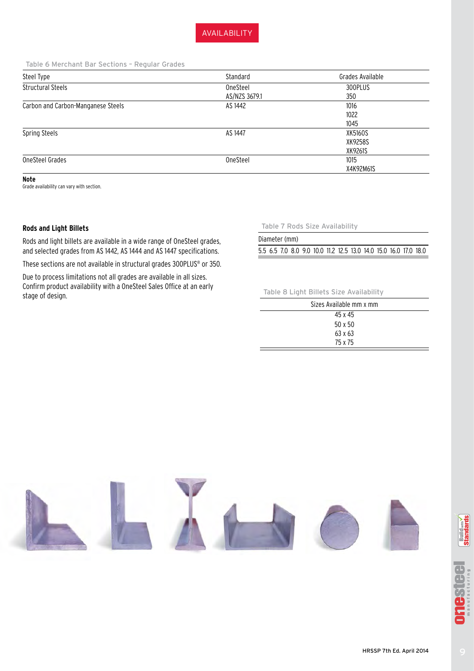AVAILABILITY

Table 6 Merchant Bar Sections – Regular Grades

| Steel Type                         | Standard      | Grades Available |
|------------------------------------|---------------|------------------|
| <b>Structural Steels</b>           | OneSteel      | 300PLUS          |
|                                    | AS/NZS 3679.1 | 350              |
| Carbon and Carbon-Manganese Steels | AS 1442       | 1016             |
|                                    |               | 1022             |
|                                    |               | 1045             |
| Spring Steels                      | AS 1447       | XK5160S          |
|                                    |               | XK9258S          |
|                                    |               | XK9261S          |
| OneSteel Grades                    | OneSteel      | 1015             |
|                                    |               | X4K92M61S        |

**Note**

Grade availability can vary with section.

## **Rods and Light Billets**

Rods and light billets are available in a wide range of OneSteel grades, and selected grades from AS 1442, AS 1444 and AS 1447 specifications. These sections are not available in structural grades 300PLUS® or 350.

Due to process limitations not all grades are available in all sizes. Confirm product availability with a OneSteel Sales Office at an early stage of design.

Table 7 Rods Size Availability

| Diameter (mm)                                                    |  |  |  |  |  |  |
|------------------------------------------------------------------|--|--|--|--|--|--|
| 5.5 6.5 7.0 8.0 9.0 10.0 11.2 12.5 13.0 14.0 15.0 16.0 17.0 18.0 |  |  |  |  |  |  |

#### Table 8 Light Billets Size Availability

| Sizes Available mm x mm |  |
|-------------------------|--|
| 45 x 45                 |  |
| $50 \times 50$          |  |
| 63 x 63                 |  |
| 75 x 75                 |  |